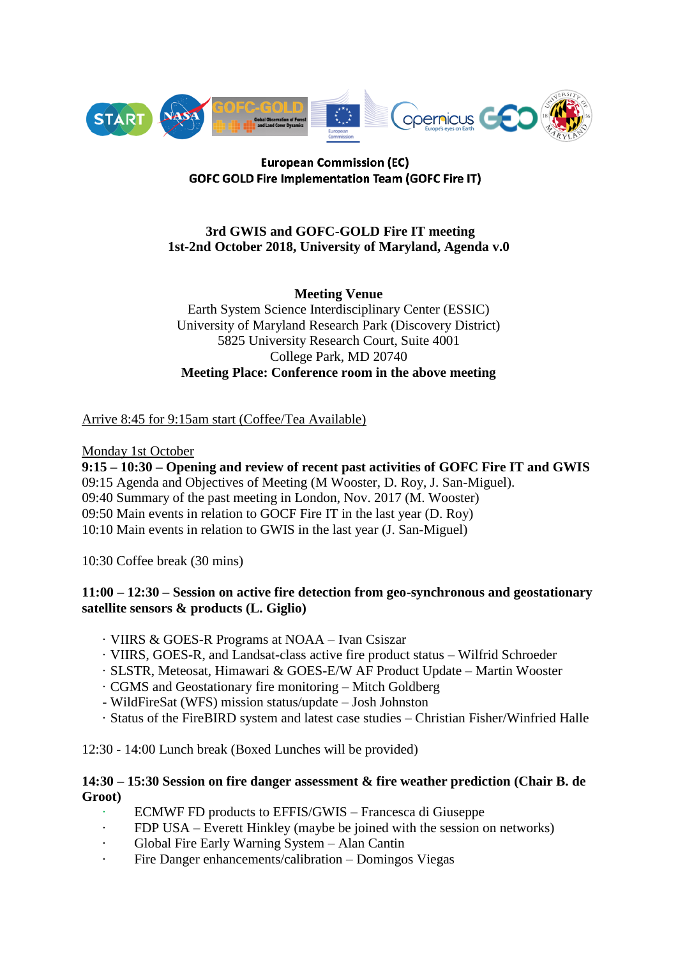

## **European Commission (EC) GOFC GOLD Fire Implementation Team (GOFC Fire IT)**

# **3rd GWIS and GOFC-GOLD Fire IT meeting 1st-2nd October 2018, University of Maryland, Agenda v.0**

**Meeting Venue** Earth System Science Interdisciplinary Center (ESSIC) University of Maryland Research Park (Discovery District) 5825 University Research Court, Suite 4001 College Park, MD 20740 **Meeting Place: Conference room in the above meeting**

# Arrive 8:45 for 9:15am start (Coffee/Tea Available)

## Monday 1st October

**9:15 – 10:30 – Opening and review of recent past activities of GOFC Fire IT and GWIS** 09:15 Agenda and Objectives of Meeting (M Wooster, D. Roy, J. San-Miguel). 09:40 Summary of the past meeting in London, Nov. 2017 (M. Wooster) 09:50 Main events in relation to GOCF Fire IT in the last year (D. Roy) 10:10 Main events in relation to GWIS in the last year (J. San-Miguel)

10:30 Coffee break (30 mins)

## **11:00 – 12:30 – Session on active fire detection from geo-synchronous and geostationary satellite sensors & products (L. Giglio)**

- · VIIRS & GOES-R Programs at NOAA Ivan Csiszar
- · VIIRS, GOES-R, and Landsat-class active fire product status Wilfrid Schroeder
- · SLSTR, Meteosat, Himawari & GOES-E/W AF Product Update Martin Wooster
- · CGMS and Geostationary fire monitoring Mitch Goldberg
- WildFireSat (WFS) mission status/update Josh Johnston
- · Status of the FireBIRD system and latest case studies Christian Fisher/Winfried Halle

12:30 - 14:00 Lunch break (Boxed Lunches will be provided)

## **14:30 – 15:30 Session on fire danger assessment & fire weather prediction (Chair B. de Groot)**

- · ECMWF FD products to EFFIS/GWIS Francesca di Giuseppe
- · FDP USA Everett Hinkley (maybe be joined with the session on networks)
- Global Fire Early Warning System Alan Cantin
- Fire Danger enhancements/calibration Domingos Viegas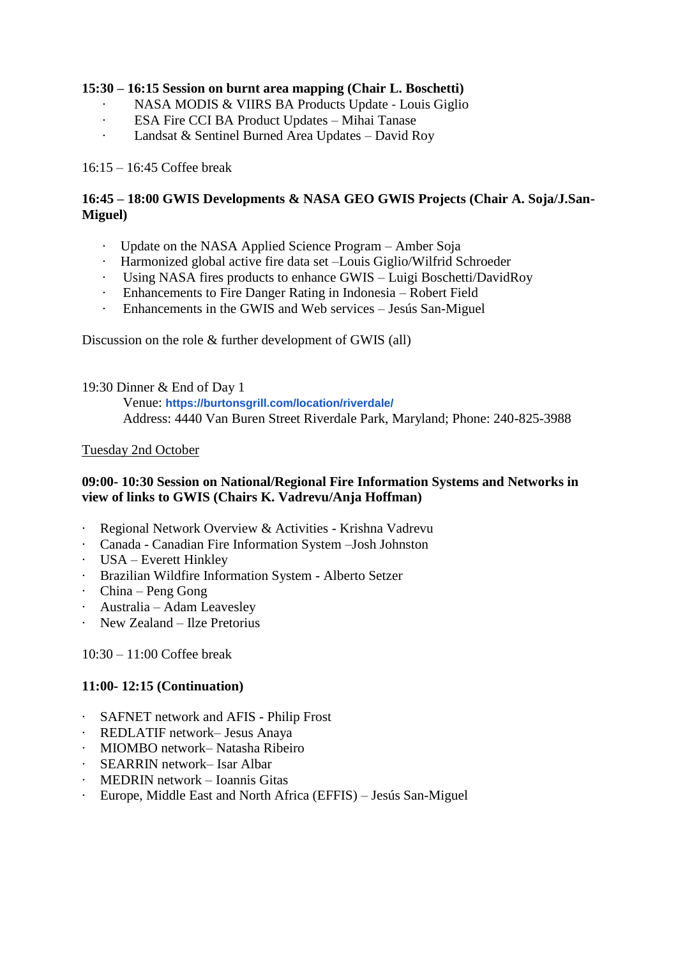## **15:30 – 16:15 Session on burnt area mapping (Chair L. Boschetti)**

- · NASA MODIS & VIIRS BA Products Update ‐ Louis Giglio
- · ESA Fire CCI BA Product Updates Mihai Tanase
- · Landsat & Sentinel Burned Area Updates David Roy

#### 16:15 – 16:45 Coffee break

## **16:45 – 18:00 GWIS Developments & NASA GEO GWIS Projects (Chair A. Soja/J.San-Miguel)**

- · Update on the NASA Applied Science Program Amber Soja
- · Harmonized global active fire data set –Louis Giglio/Wilfrid Schroeder
- · Using NASA fires products to enhance GWIS Luigi Boschetti/DavidRoy
- · Enhancements to Fire Danger Rating in Indonesia Robert Field
- · Enhancements in the GWIS and Web services Jesús San-Miguel

Discussion on the role & further development of GWIS (all)

19:30 Dinner & End of Day 1

Venue: **<https://burtonsgrill.com/location/riverdale/>** Address: 4440 Van Buren Street Riverdale Park, Maryland; Phone: 240-825-3988

#### Tuesday 2nd October

## **09:00- 10:30 Session on National/Regional Fire Information Systems and Networks in view of links to GWIS (Chairs K. Vadrevu/Anja Hoffman)**

- · Regional Network Overview & Activities Krishna Vadrevu
- · Canada Canadian Fire Information System –Josh Johnston
- · USA Everett Hinkley
- · Brazilian Wildfire Information System Alberto Setzer
- · China Peng Gong
- · Australia Adam Leavesley
- · New Zealand Ilze Pretorius

10:30 – 11:00 Coffee break

## **11:00- 12:15 (Continuation)**

- · SAFNET network and AFIS Philip Frost
- · REDLATIF network– Jesus Anaya
- · MIOMBO network– Natasha Ribeiro
- · SEARRIN network– Isar Albar
- · MEDRIN network Ioannis Gitas
- · Europe, Middle East and North Africa (EFFIS) Jesús San-Miguel